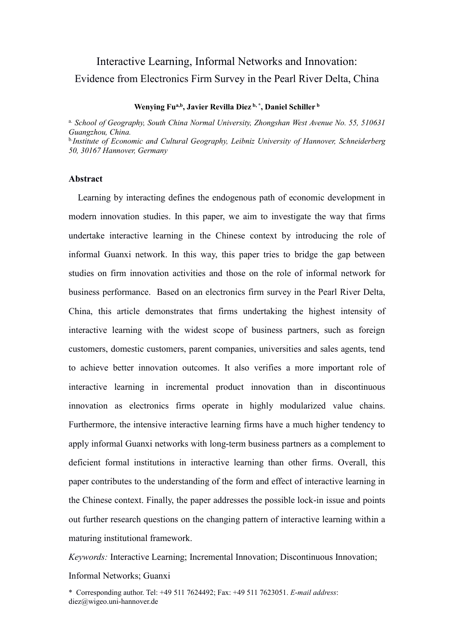# Interactive Learning, Informal Networks and Innovation: Evidence from Electronics Firm Survey in the Pearl River Delta, China

#### **Wenying Fua,b , Javier Revilla Diez b, \* , Daniel Schiller <sup>b</sup>**

a. *School of Geography, South China Normal University, Zhongshan West Avenue No. 55, 510631 Guangzhou, China.* b. *Institute of Economic and Cultural Geography, Leibniz University of Hannover, Schneiderberg 50, 30167 Hannover, Germany*

### **Abstract**

Learning by interacting defines the endogenous path of economic development in modern innovation studies. In this paper, we aim to investigate the way that firms undertake interactive learning in the Chinese context by introducing the role of informal Guanxi network. In this way, this paper tries to bridge the gap between studies on firm innovation activities and those on the role of informal network for business performance. Based on an electronics firm survey in the Pearl River Delta, China, this article demonstrates that firms undertaking the highest intensity of interactive learning with the widest scope of business partners, such as foreign customers, domestic customers, parent companies, universities and sales agents, tend to achieve better innovation outcomes. It also verifies a more important role of interactive learning in incremental product innovation than in discontinuous innovation as electronics firms operate in highly modularized value chains. Furthermore, the intensive interactive learning firms have a much higher tendency to apply informal Guanxi networks with long-term business partners as a complement to deficient formal institutions in interactive learning than other firms. Overall, this paper contributes to the understanding of the form and effect of interactive learning in the Chinese context. Finally, the paper addresses the possible lock-in issue and points out further research questions on the changing pattern of interactive learning within a maturing institutional framework.

*Keywords:* Interactive Learning; Incremental Innovation; Discontinuous Innovation;

### Informal Networks; Guanxi

<sup>\*</sup> Corresponding author. Tel: +49 511 7624492; Fax: +49 511 7623051. *E-mail address*: diez@wigeo.uni-hannover.de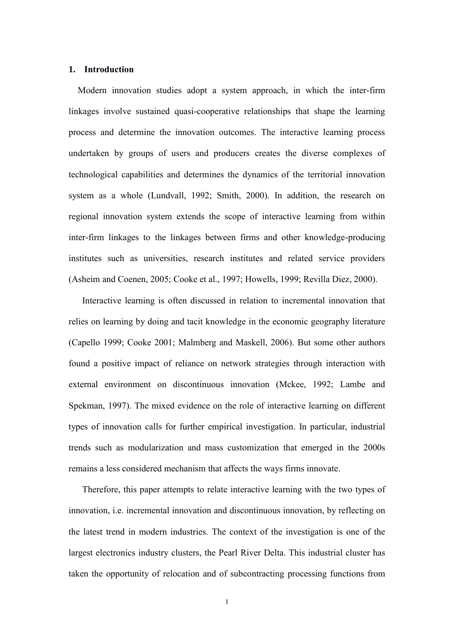### **1. Introduction**

Modern innovation studies adopt a system approach, in which the inter-firm linkages involve sustained quasi-cooperative relationships that shape the learning process and determine the innovation outcomes. The interactive learning process undertaken by groups of users and producers creates the diverse complexes of technological capabilities and determines the dynamics of the territorial innovation system as a whole (Lundvall, 1992; Smith, 2000). In addition, the research on regional innovation system extends the scope of interactive learning from within inter-firm linkages to the linkages between firms and other knowledge-producing institutes such as universities, research institutes and related service providers (Asheim and Coenen, 2005; Cooke et al., 1997; Howells, 1999; Revilla Diez, 2000).

Interactive learning is often discussed in relation to incremental innovation that relies on learning by doing and tacit knowledge in the economic geography literature (Capello 1999; Cooke 2001; Malmberg and Maskell, 2006). But some other authors found a positive impact of reliance on network strategies through interaction with external environment on discontinuous innovation (Mckee, 1992; Lambe and Spekman, 1997). The mixed evidence on the role of interactive learning on different types of innovation calls for further empirical investigation. In particular, industrial trends such as modularization and mass customization that emerged in the 2000s remains a less considered mechanism that affects the ways firms innovate.

Therefore, this paper attempts to relate interactive learning with the two types of innovation, i.e. incremental innovation and discontinuous innovation, by reflecting on the latest trend in modern industries. The context of the investigation is one of the largest electronics industry clusters, the Pearl River Delta. This industrial cluster has taken the opportunity of relocation and of subcontracting processing functions from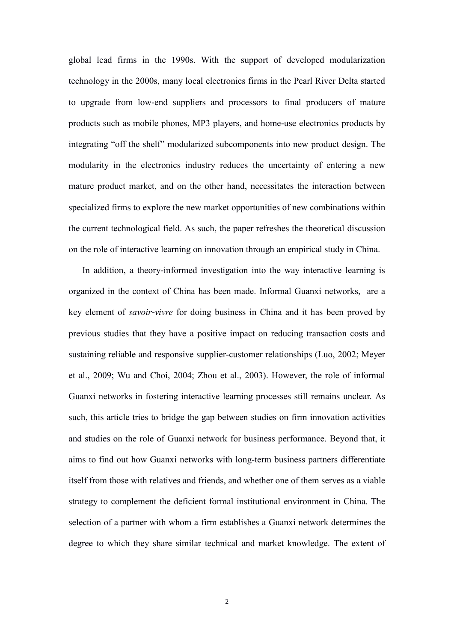global lead firms in the 1990s. With the support of developed modularization technology in the 2000s, many local electronics firms in the Pearl River Delta started to upgrade from low-end suppliers and processors to final producers of mature products such as mobile phones, MP3 players, and home-use electronics products by integrating "off the shelf" modularized subcomponents into new product design. The modularity in the electronics industry reduces the uncertainty of entering a new mature product market, and on the other hand, necessitates the interaction between specialized firms to explore the new market opportunities of new combinations within the current technological field. As such, the paper refreshes the theoretical discussion on the role of interactive learning on innovation through an empirical study in China.

In addition, a theory-informed investigation into the way interactive learning is organized in the context of China has been made. Informal Guanxi networks, are a key element of *savoir-vivre* for doing business in China and it has been proved by previous studies that they have a positive impact on reducing transaction costs and sustaining reliable and responsive supplier-customer relationships (Luo, 2002; Meyer et al., 2009; Wu and Choi, 2004; Zhou et al., 2003). However, the role of informal Guanxi networks in fostering interactive learning processes still remains unclear. As such, this article tries to bridge the gap between studies on firm innovation activities and studies on the role of Guanxi network for business performance. Beyond that, it aims to find out how Guanxi networks with long-term business partners differentiate itself from those with relatives and friends, and whether one of them serves as a viable strategy to complement the deficient formal institutional environment in China. The selection of a partner with whom a firm establishes a Guanxi network determines the degree to which they share similar technical and market knowledge. The extent of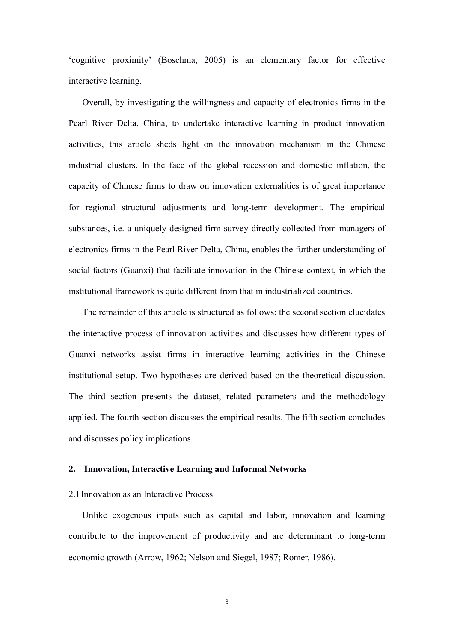'cognitive proximity' (Boschma, 2005) is an elementary factor for effective interactive learning.

Overall, by investigating the willingness and capacity of electronics firms in the Pearl River Delta, China, to undertake interactive learning in product innovation activities, this article sheds light on the innovation mechanism in the Chinese industrial clusters. In the face of the global recession and domestic inflation, the capacity of Chinese firms to draw on innovation externalities is of great importance for regional structural adjustments and long-term development. The empirical substances, i.e. a uniquely designed firm survey directly collected from managers of electronics firms in the Pearl River Delta, China, enables the further understanding of social factors (Guanxi) that facilitate innovation in the Chinese context, in which the institutional framework is quite different from that in industrialized countries.

The remainder of this article is structured as follows: the second section elucidates the interactive process of innovation activities and discusses how different types of Guanxi networks assist firms in interactive learning activities in the Chinese institutional setup. Two hypotheses are derived based on the theoretical discussion. The third section presents the dataset, related parameters and the methodology applied. The fourth section discusses the empirical results. The fifth section concludes and discusses policy implications.

### **2. Innovation, Interactive Learning and Informal Networks**

#### 2.1Innovation as an Interactive Process

Unlike exogenous inputs such as capital and labor, innovation and learning contribute to the improvement of productivity and are determinant to long-term economic growth (Arrow, 1962; Nelson and Siegel, 1987; Romer, 1986).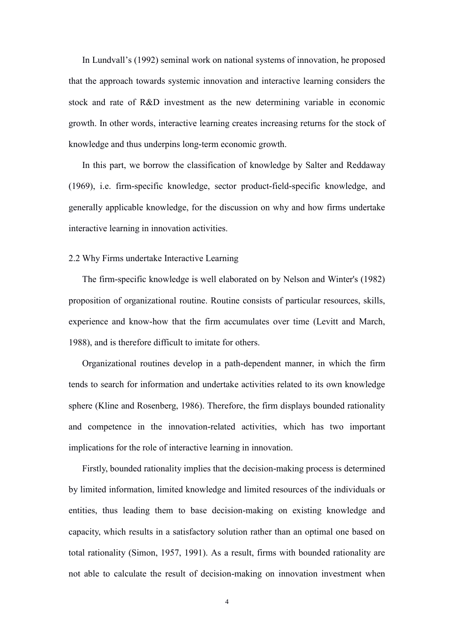In Lundvall's (1992) seminal work on national systems of innovation, he proposed that the approach towards systemic innovation and interactive learning considers the stock and rate of R&D investment as the new determining variable in economic growth. In other words, interactive learning creates increasing returns for the stock of knowledge and thus underpins long-term economic growth.

In this part, we borrow the classification of knowledge by Salter and Reddaway (1969), i.e. firm-specific knowledge, sector product-field-specific knowledge, and generally applicable knowledge, for the discussion on why and how firms undertake interactive learning in innovation activities.

#### 2.2 Why Firms undertake Interactive Learning

The firm-specific knowledge is well elaborated on by Nelson and Winter's (1982) proposition of organizational routine. Routine consists of particular resources, skills, experience and know-how that the firm accumulates over time (Levitt and March, 1988), and is therefore difficult to imitate for others.

Organizational routines develop in a path-dependent manner, in which the firm tends to search for information and undertake activities related to its own knowledge sphere (Kline and Rosenberg, 1986). Therefore, the firm displays bounded rationality and competence in the innovation-related activities, which has two important implications for the role of interactive learning in innovation.

Firstly, bounded rationality implies that the decision-making process is determined by limited information, limited knowledge and limited resources of the individuals or entities, thus leading them to base decision-making on existing knowledge and capacity, which results in a satisfactory solution rather than an optimal one based on total rationality (Simon, 1957, 1991). As a result, firms with bounded rationality are not able to calculate the result of decision-making on innovation investment when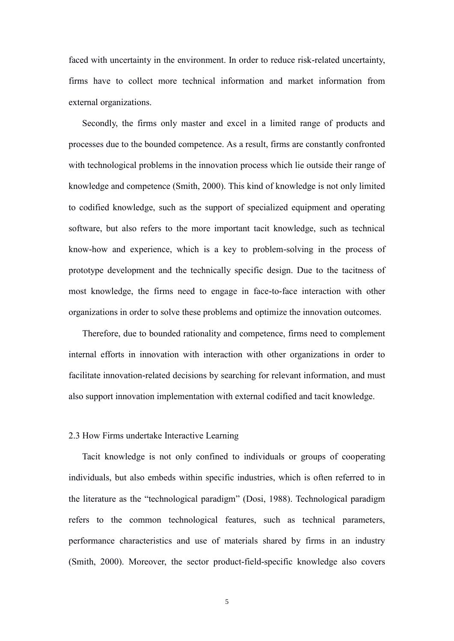faced with uncertainty in the environment. In order to reduce risk-related uncertainty, firms have to collect more technical information and market information from external organizations.

Secondly, the firms only master and excel in a limited range of products and processes due to the bounded competence. As a result, firms are constantly confronted with technological problems in the innovation process which lie outside their range of knowledge and competence (Smith, 2000). This kind of knowledge is not only limited to codified knowledge, such as the support of specialized equipment and operating software, but also refers to the more important tacit knowledge, such as technical know-how and experience, which is a key to problem-solving in the process of prototype development and the technically specific design. Due to the tacitness of most knowledge, the firms need to engage in face-to-face interaction with other organizations in order to solve these problems and optimize the innovation outcomes.

Therefore, due to bounded rationality and competence, firms need to complement internal efforts in innovation with interaction with other organizations in order to facilitate innovation-related decisions by searching for relevant information, and must also support innovation implementation with external codified and tacit knowledge.

### 2.3 How Firms undertake Interactive Learning

Tacit knowledge is not only confined to individuals or groups of cooperating individuals, but also embeds within specific industries, which is often referred to in the literature as the "technological paradigm" (Dosi, 1988). Technological paradigm refers to the common technological features, such as technical parameters, performance characteristics and use of materials shared by firms in an industry (Smith, 2000). Moreover, the sector product-field-specific knowledge also covers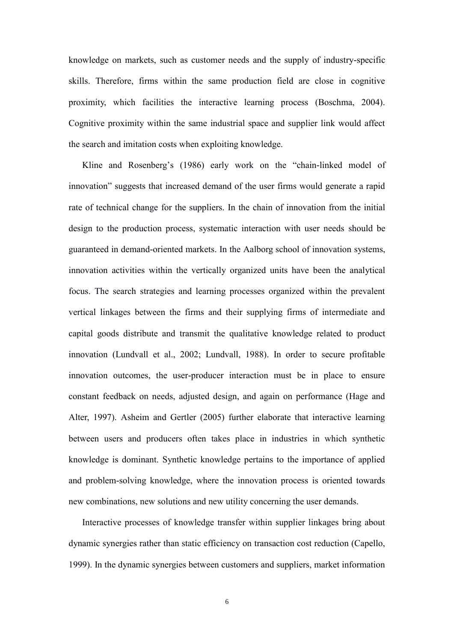knowledge on markets, such as customer needs and the supply of industry-specific skills. Therefore, firms within the same production field are close in cognitive proximity, which facilities the interactive learning process (Boschma, 2004). Cognitive proximity within the same industrial space and supplier link would affect the search and imitation costs when exploiting knowledge.

Kline and Rosenberg's (1986) early work on the "chain-linked model of innovation" suggests that increased demand of the user firms would generate a rapid rate of technical change for the suppliers. In the chain of innovation from the initial design to the production process, systematic interaction with user needs should be guaranteed in demand-oriented markets. In the Aalborg school of innovation systems, innovation activities within the vertically organized units have been the analytical focus. The search strategies and learning processes organized within the prevalent vertical linkages between the firms and their supplying firms of intermediate and capital goods distribute and transmit the qualitative knowledge related to product innovation (Lundvall et al., 2002; Lundvall, 1988). In order to secure profitable innovation outcomes, the user-producer interaction must be in place to ensure constant feedback on needs, adjusted design, and again on performance (Hage and Alter, 1997). Asheim and Gertler (2005) further elaborate that interactive learning between users and producers often takes place in industries in which synthetic knowledge is dominant. Synthetic knowledge pertains to the importance of applied and problem-solving knowledge, where the innovation process is oriented towards new combinations, new solutions and new utility concerning the user demands.

Interactive processes of knowledge transfer within supplier linkages bring about dynamic synergies rather than static efficiency on transaction cost reduction (Capello, 1999). In the dynamic synergies between customers and suppliers, market information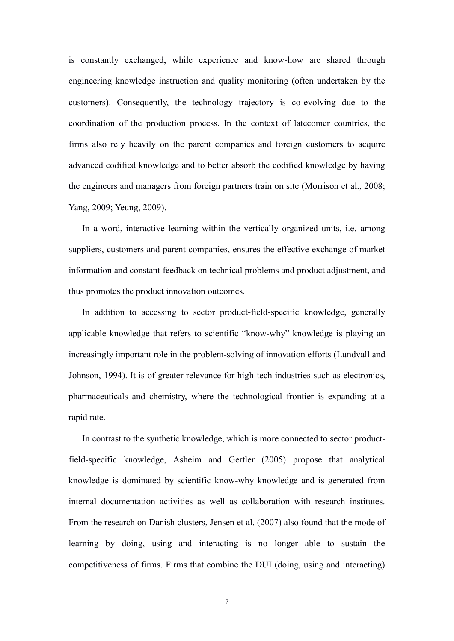is constantly exchanged, while experience and know-how are shared through engineering knowledge instruction and quality monitoring (often undertaken by the customers). Consequently, the technology trajectory is co-evolving due to the coordination of the production process. In the context of latecomer countries, the firms also rely heavily on the parent companies and foreign customers to acquire advanced codified knowledge and to better absorb the codified knowledge by having the engineers and managers from foreign partners train on site (Morrison et al., 2008; Yang, 2009; Yeung, 2009).

In a word, interactive learning within the vertically organized units, i.e. among suppliers, customers and parent companies, ensures the effective exchange of market information and constant feedback on technical problems and product adjustment, and thus promotes the product innovation outcomes.

In addition to accessing to sector product-field-specific knowledge, generally applicable knowledge that refers to scientific "know-why" knowledge is playing an increasingly important role in the problem-solving of innovation efforts (Lundvall and Johnson, 1994). It is of greater relevance for high-tech industries such as electronics, pharmaceuticals and chemistry, where the technological frontier is expanding at a rapid rate.

In contrast to the synthetic knowledge, which is more connected to sector productfield-specific knowledge, Asheim and Gertler (2005) propose that analytical knowledge is dominated by scientific know-why knowledge and is generated from internal documentation activities as well as collaboration with research institutes. From the research on Danish clusters, Jensen et al. (2007) also found that the mode of learning by doing, using and interacting is no longer able to sustain the competitiveness of firms. Firms that combine the DUI (doing, using and interacting)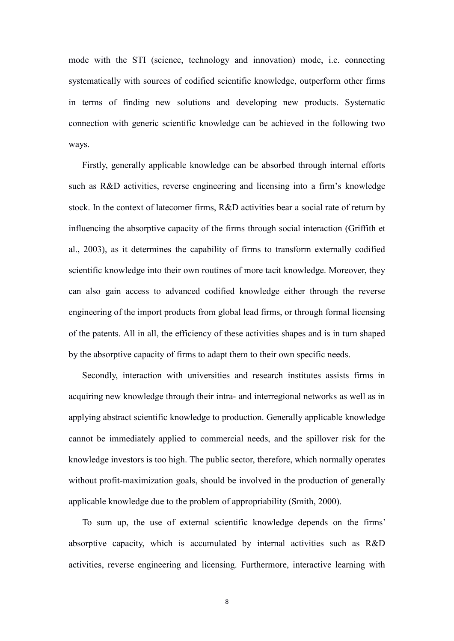mode with the STI (science, technology and innovation) mode, i.e. connecting systematically with sources of codified scientific knowledge, outperform other firms in terms of finding new solutions and developing new products. Systematic connection with generic scientific knowledge can be achieved in the following two ways.

Firstly, generally applicable knowledge can be absorbed through internal efforts such as R&D activities, reverse engineering and licensing into a firm's knowledge stock. In the context of latecomer firms, R&D activities bear a social rate of return by influencing the absorptive capacity of the firms through social interaction (Griffith et al., 2003), as it determines the capability of firms to transform externally codified scientific knowledge into their own routines of more tacit knowledge. Moreover, they can also gain access to advanced codified knowledge either through the reverse engineering of the import products from global lead firms, or through formal licensing of the patents. All in all, the efficiency of these activities shapes and is in turn shaped by the absorptive capacity of firms to adapt them to their own specific needs.

Secondly, interaction with universities and research institutes assists firms in acquiring new knowledge through their intra- and interregional networks as well as in applying abstract scientific knowledge to production. Generally applicable knowledge cannot be immediately applied to commercial needs, and the spillover risk for the knowledge investors is too high. The public sector, therefore, which normally operates without profit-maximization goals, should be involved in the production of generally applicable knowledge due to the problem of appropriability (Smith, 2000).

To sum up, the use of external scientific knowledge depends on the firms' absorptive capacity, which is accumulated by internal activities such as R&D activities, reverse engineering and licensing. Furthermore, interactive learning with

8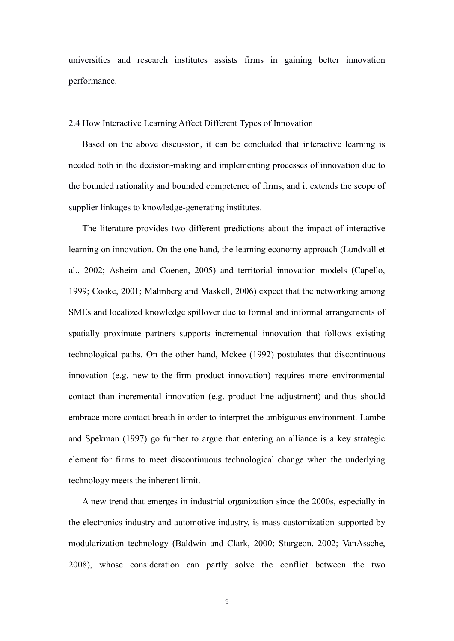universities and research institutes assists firms in gaining better innovation performance.

### 2.4 How Interactive Learning Affect Different Types of Innovation

Based on the above discussion, it can be concluded that interactive learning is needed both in the decision-making and implementing processes of innovation due to the bounded rationality and bounded competence of firms, and it extends the scope of supplier linkages to knowledge-generating institutes.

The literature provides two different predictions about the impact of interactive learning on innovation. On the one hand, the learning economy approach (Lundvall et al., 2002; Asheim and Coenen, 2005) and territorial innovation models (Capello, 1999; Cooke, 2001; Malmberg and Maskell, 2006) expect that the networking among SMEs and localized knowledge spillover due to formal and informal arrangements of spatially proximate partners supports incremental innovation that follows existing technological paths. On the other hand, Mckee (1992) postulates that discontinuous innovation (e.g. new-to-the-firm product innovation) requires more environmental contact than incremental innovation (e.g. product line adjustment) and thus should embrace more contact breath in order to interpret the ambiguous environment. Lambe and Spekman (1997) go further to argue that entering an alliance is a key strategic element for firms to meet discontinuous technological change when the underlying technology meets the inherent limit.

A new trend that emerges in industrial organization since the 2000s, especially in the electronics industry and automotive industry, is mass customization supported by modularization technology (Baldwin and Clark, 2000; Sturgeon, 2002; VanAssche, 2008), whose consideration can partly solve the conflict between the two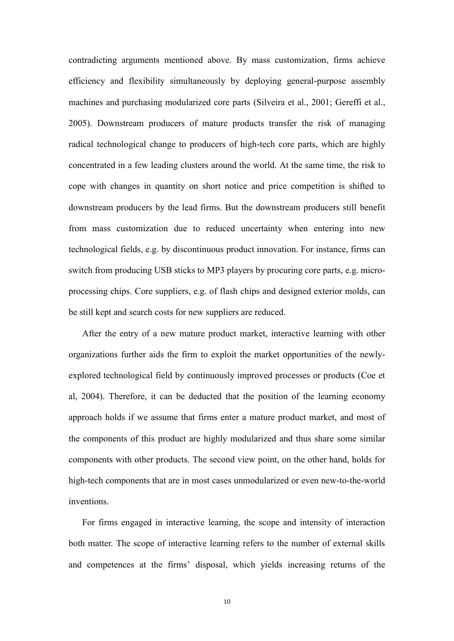contradicting arguments mentioned above. By mass customization, firms achieve efficiency and flexibility simultaneously by deploying general-purpose assembly machines and purchasing modularized core parts (Silveira et al., 2001; Gereffi et al., 2005). Downstream producers of mature products transfer the risk of managing radical technological change to producers of high-tech core parts, which are highly concentrated in a few leading clusters around the world. At the same time, the risk to cope with changes in quantity on short notice and price competition is shifted to downstream producers by the lead firms. But the downstream producers still benefit from mass customization due to reduced uncertainty when entering into new technological fields, e.g. by discontinuous product innovation. For instance, firms can switch from producing USB sticks to MP3 players by procuring core parts, e.g. microprocessing chips. Core suppliers, e.g. of flash chips and designed exterior molds, can be still kept and search costs for new suppliers are reduced.

After the entry of a new mature product market, interactive learning with other organizations further aids the firm to exploit the market opportunities of the newlyexplored technological field by continuously improved processes or products (Coe et al, 2004). Therefore, it can be deducted that the position of the learning economy approach holds if we assume that firms enter a mature product market, and most of the components of this product are highly modularized and thus share some similar components with other products. The second view point, on the other hand, holds for high-tech components that are in most cases unmodularized or even new-to-the-world inventions.

For firms engaged in interactive learning, the scope and intensity of interaction both matter. The scope of interactive learning refers to the number of external skills and competences at the firms' disposal, which yields increasing returns of the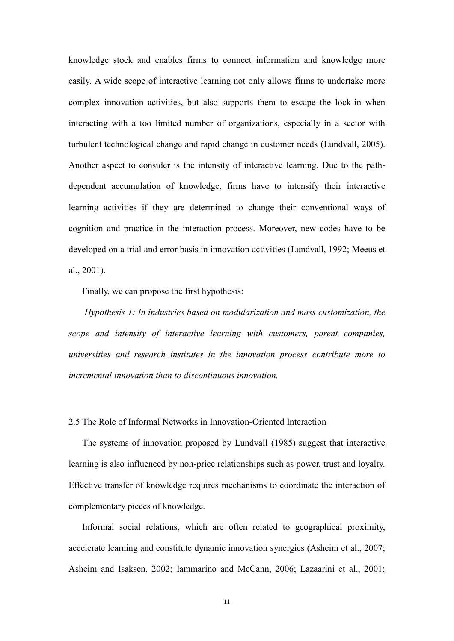knowledge stock and enables firms to connect information and knowledge more easily. A wide scope of interactive learning not only allows firms to undertake more complex innovation activities, but also supports them to escape the lock-in when interacting with a too limited number of organizations, especially in a sector with turbulent technological change and rapid change in customer needs (Lundvall, 2005). Another aspect to consider is the intensity of interactive learning. Due to the pathdependent accumulation of knowledge, firms have to intensify their interactive learning activities if they are determined to change their conventional ways of cognition and practice in the interaction process. Moreover, new codes have to be developed on a trial and error basis in innovation activities (Lundvall, 1992; Meeus et al., 2001).

Finally, we can propose the first hypothesis:

*Hypothesis 1: In industries based on modularization and mass customization, the scope and intensity of interactive learning with customers, parent companies, universities and research institutes in the innovation process contribute more to incremental innovation than to discontinuous innovation.*

# 2.5 The Role of Informal Networks in Innovation-Oriented Interaction

The systems of innovation proposed by Lundvall (1985) suggest that interactive learning is also influenced by non-price relationships such as power, trust and loyalty. Effective transfer of knowledge requires mechanisms to coordinate the interaction of complementary pieces of knowledge.

Informal social relations, which are often related to geographical proximity, accelerate learning and constitute dynamic innovation synergies (Asheim et al., 2007; Asheim and Isaksen, 2002; Iammarino and McCann, 2006; Lazaarini et al., 2001;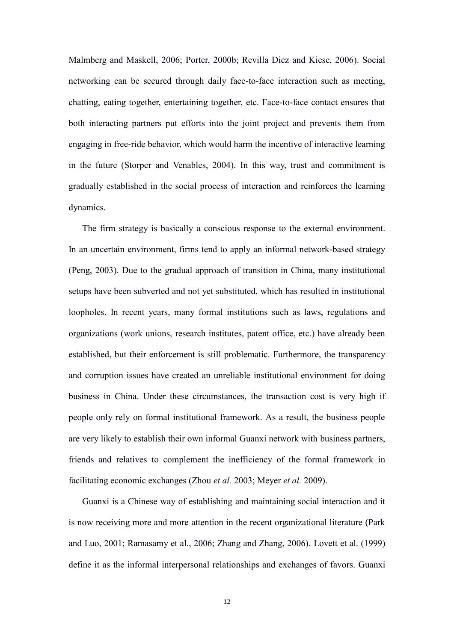Malmberg and Maskell, 2006; Porter, 2000b; Revilla Diez and Kiese, 2006). Social networking can be secured through daily face-to-face interaction such as meeting, chatting, eating together, entertaining together, etc. Face-to-face contact ensures that both interacting partners put efforts into the joint project and prevents them from engaging in free-ride behavior, which would harm the incentive of interactive learning in the future (Storper and Venables, 2004). In this way, trust and commitment is gradually established in the social process of interaction and reinforces the learning dynamics.

The firm strategy is basically a conscious response to the external environment. In an uncertain environment, firms tend to apply an informal network-based strategy (Peng, 2003). Due to the gradual approach of transition in China, many institutional setups have been subverted and not yet substituted, which has resulted in institutional loopholes. In recent years, many formal institutions such as laws, regulations and organizations (work unions, research institutes, patent office, etc.) have already been established, but their enforcement is still problematic. Furthermore, the transparency and corruption issues have created an unreliable institutional environment for doing business in China. Under these circumstances, the transaction cost is very high if people only rely on formal institutional framework. As a result, the business people are very likely to establish their own informal Guanxi network with business partners, friends and relatives to complement the inefficiency of the formal framework in facilitating economic exchanges (Zhou *et al.* 2003; Meyer *et al.* 2009).

Guanxi is a Chinese way of establishing and maintaining social interaction and it is now receiving more and more attention in the recent organizational literature (Park and Luo, 2001; Ramasamy et al., 2006; Zhang and Zhang, 2006). Lovett et al. (1999) define it as the informal interpersonal relationships and exchanges of favors. Guanxi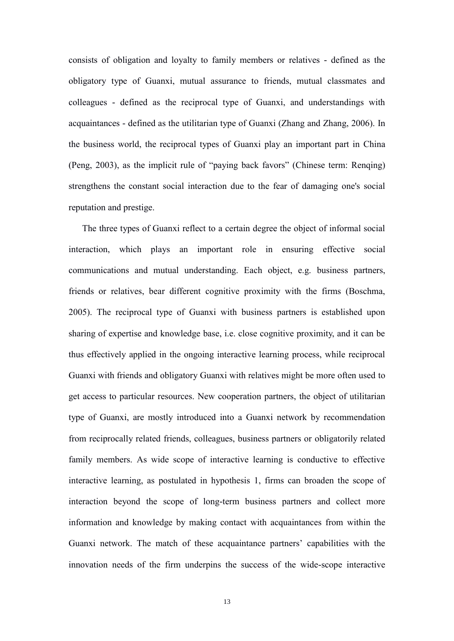consists of obligation and loyalty to family members or relatives - defined as the obligatory type of Guanxi, mutual assurance to friends, mutual classmates and colleagues - defined as the reciprocal type of Guanxi, and understandings with acquaintances - defined as the utilitarian type of Guanxi (Zhang and Zhang, 2006). In the business world, the reciprocal types of Guanxi play an important part in China (Peng, 2003), as the implicit rule of "paying back favors" (Chinese term: Renqing) strengthens the constant social interaction due to the fear of damaging one's social reputation and prestige.

The three types of Guanxi reflect to a certain degree the object of informal social interaction, which plays an important role in ensuring effective social communications and mutual understanding. Each object, e.g. business partners, friends or relatives, bear different cognitive proximity with the firms (Boschma, 2005). The reciprocal type of Guanxi with business partners is established upon sharing of expertise and knowledge base, i.e. close cognitive proximity, and it can be thus effectively applied in the ongoing interactive learning process, while reciprocal Guanxi with friends and obligatory Guanxi with relatives might be more often used to get access to particular resources. New cooperation partners, the object of utilitarian type of Guanxi, are mostly introduced into a Guanxi network by recommendation from reciprocally related friends, colleagues, business partners or obligatorily related family members. As wide scope of interactive learning is conductive to effective interactive learning, as postulated in hypothesis 1, firms can broaden the scope of interaction beyond the scope of long-term business partners and collect more information and knowledge by making contact with acquaintances from within the Guanxi network. The match of these acquaintance partners' capabilities with the innovation needs of the firm underpins the success of the wide-scope interactive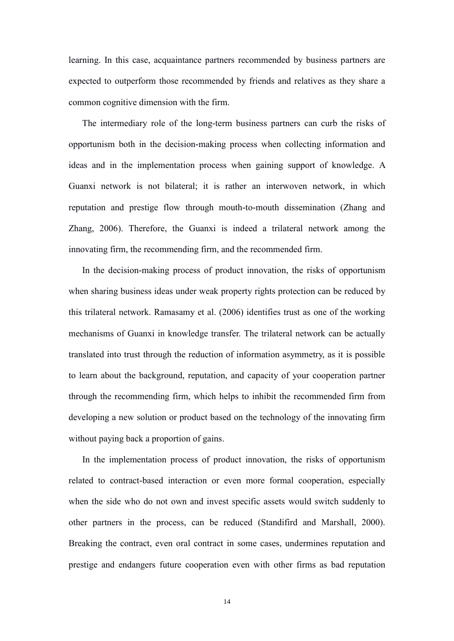learning. In this case, acquaintance partners recommended by business partners are expected to outperform those recommended by friends and relatives as they share a common cognitive dimension with the firm.

The intermediary role of the long-term business partners can curb the risks of opportunism both in the decision-making process when collecting information and ideas and in the implementation process when gaining support of knowledge. A Guanxi network is not bilateral; it is rather an interwoven network, in which reputation and prestige flow through mouth-to-mouth dissemination (Zhang and Zhang, 2006). Therefore, the Guanxi is indeed a trilateral network among the innovating firm, the recommending firm, and the recommended firm.

In the decision-making process of product innovation, the risks of opportunism when sharing business ideas under weak property rights protection can be reduced by this trilateral network. Ramasamy et al. (2006) identifies trust as one of the working mechanisms of Guanxi in knowledge transfer. The trilateral network can be actually translated into trust through the reduction of information asymmetry, as it is possible to learn about the background, reputation, and capacity of your cooperation partner through the recommending firm, which helps to inhibit the recommended firm from developing a new solution or product based on the technology of the innovating firm without paying back a proportion of gains.

In the implementation process of product innovation, the risks of opportunism related to contract-based interaction or even more formal cooperation, especially when the side who do not own and invest specific assets would switch suddenly to other partners in the process, can be reduced (Standifird and Marshall, 2000). Breaking the contract, even oral contract in some cases, undermines reputation and prestige and endangers future cooperation even with other firms as bad reputation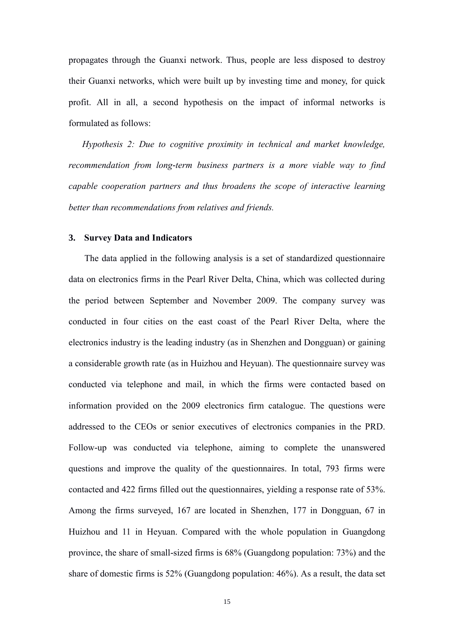propagates through the Guanxi network. Thus, people are less disposed to destroy their Guanxi networks, which were built up by investing time and money, for quick profit. All in all, a second hypothesis on the impact of informal networks is formulated as follows:

*Hypothesis 2: Due to cognitive proximity in technical and market knowledge, recommendation from long-term business partners is a more viable way to find capable cooperation partners and thus broadens the scope of interactive learning better than recommendations from relatives and friends.* 

# **3. Survey Data and Indicators**

The data applied in the following analysis is a set of standardized questionnaire data on electronics firms in the Pearl River Delta, China, which was collected during the period between September and November 2009. The company survey was conducted in four cities on the east coast of the Pearl River Delta, where the electronics industry is the leading industry (as in Shenzhen and Dongguan) or gaining a considerable growth rate (as in Huizhou and Heyuan). The questionnaire survey was conducted via telephone and mail, in which the firms were contacted based on information provided on the 2009 electronics firm catalogue. The questions were addressed to the CEOs or senior executives of electronics companies in the PRD. Follow-up was conducted via telephone, aiming to complete the unanswered questions and improve the quality of the questionnaires. In total, 793 firms were contacted and 422 firms filled out the questionnaires, yielding a response rate of 53%. Among the firms surveyed, 167 are located in Shenzhen, 177 in Dongguan, 67 in Huizhou and 11 in Heyuan. Compared with the whole population in Guangdong province, the share of small-sized firms is 68% (Guangdong population: 73%) and the share of domestic firms is 52% (Guangdong population: 46%). As a result, the data set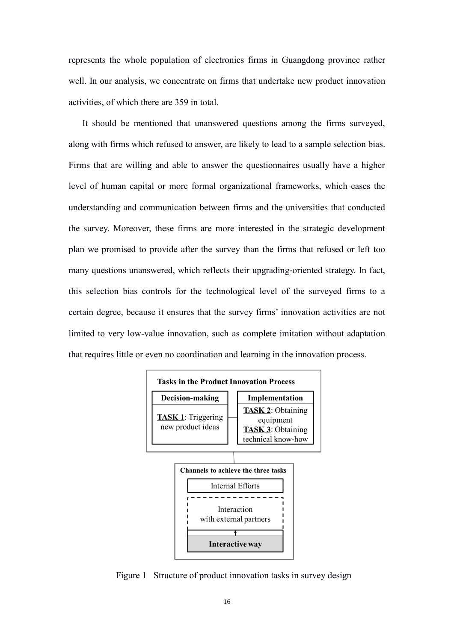represents the whole population of electronics firms in Guangdong province rather well. In our analysis, we concentrate on firms that undertake new product innovation activities, of which there are 359 in total.

It should be mentioned that unanswered questions among the firms surveyed, along with firms which refused to answer, are likely to lead to a sample selection bias. Firms that are willing and able to answer the questionnaires usually have a higher level of human capital or more formal organizational frameworks, which eases the understanding and communication between firms and the universities that conducted the survey. Moreover, these firms are more interested in the strategic development plan we promised to provide after the survey than the firms that refused or left too many questions unanswered, which reflects their upgrading-oriented strategy. In fact, this selection bias controls for the technological level of the surveyed firms to a certain degree, because it ensures that the survey firms' innovation activities are not limited to very low-value innovation, such as complete imitation without adaptation that requires little or even no coordination and learning in the innovation process.



Figure 1 Structure of product innovation tasks in survey design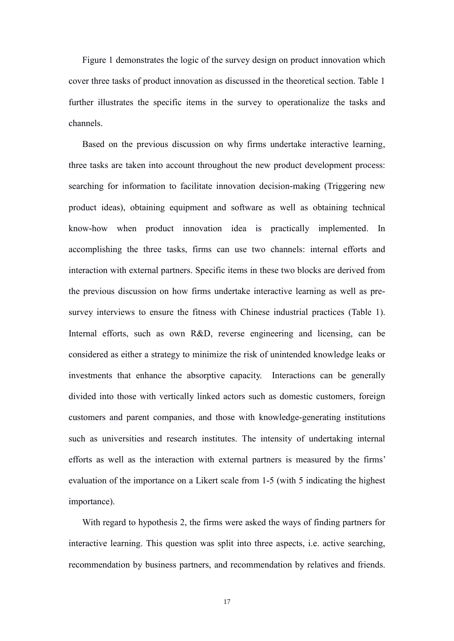Figure 1 demonstrates the logic of the survey design on product innovation which cover three tasks of product innovation as discussed in the theoretical section. Table 1 further illustrates the specific items in the survey to operationalize the tasks and channels.

Based on the previous discussion on why firms undertake interactive learning, three tasks are taken into account throughout the new product development process: searching for information to facilitate innovation decision-making (Triggering new product ideas), obtaining equipment and software as well as obtaining technical know-how when product innovation idea is practically implemented. In accomplishing the three tasks, firms can use two channels: internal efforts and interaction with external partners. Specific items in these two blocks are derived from the previous discussion on how firms undertake interactive learning as well as presurvey interviews to ensure the fitness with Chinese industrial practices (Table 1). Internal efforts, such as own R&D, reverse engineering and licensing, can be considered as either a strategy to minimize the risk of unintended knowledge leaks or investments that enhance the absorptive capacity. Interactions can be generally divided into those with vertically linked actors such as domestic customers, foreign customers and parent companies, and those with knowledge-generating institutions such as universities and research institutes. The intensity of undertaking internal efforts as well as the interaction with external partners is measured by the firms' evaluation of the importance on a Likert scale from 1-5 (with 5 indicating the highest importance).

With regard to hypothesis 2, the firms were asked the ways of finding partners for interactive learning. This question was split into three aspects, i.e. active searching, recommendation by business partners, and recommendation by relatives and friends.

17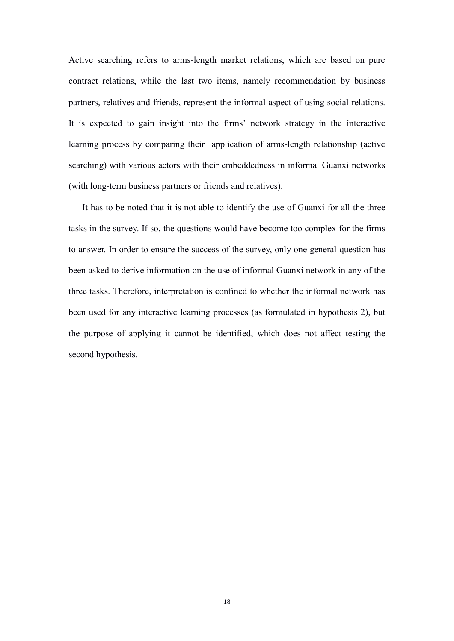Active searching refers to arms-length market relations, which are based on pure contract relations, while the last two items, namely recommendation by business partners, relatives and friends, represent the informal aspect of using social relations. It is expected to gain insight into the firms' network strategy in the interactive learning process by comparing their application of arms-length relationship (active searching) with various actors with their embeddedness in informal Guanxi networks (with long-term business partners or friends and relatives).

It has to be noted that it is not able to identify the use of Guanxi for all the three tasks in the survey. If so, the questions would have become too complex for the firms to answer. In order to ensure the success of the survey, only one general question has been asked to derive information on the use of informal Guanxi network in any of the three tasks. Therefore, interpretation is confined to whether the informal network has been used for any interactive learning processes (as formulated in hypothesis 2), but the purpose of applying it cannot be identified, which does not affect testing the second hypothesis.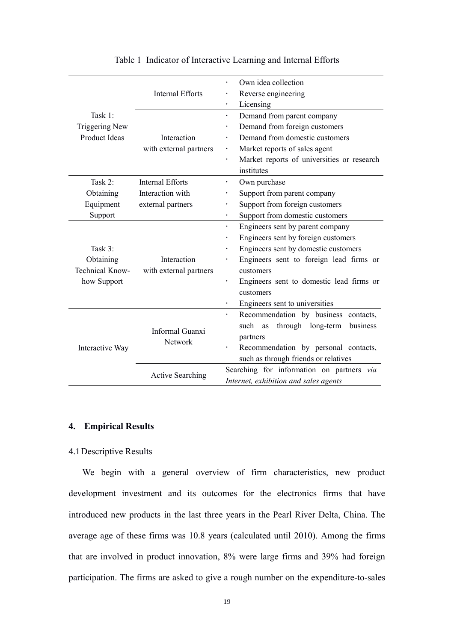|                        |                         | Own idea collection                                     |  |  |
|------------------------|-------------------------|---------------------------------------------------------|--|--|
|                        | <b>Internal Efforts</b> | Reverse engineering                                     |  |  |
|                        |                         | Licensing                                               |  |  |
| Task 1:                |                         | Demand from parent company<br>٠                         |  |  |
| Triggering New         |                         | Demand from foreign customers<br>٠                      |  |  |
| <b>Product Ideas</b>   | Interaction             | Demand from domestic customers                          |  |  |
|                        | with external partners  | Market reports of sales agent                           |  |  |
|                        |                         | Market reports of universities or research<br>$\bullet$ |  |  |
|                        |                         | institutes                                              |  |  |
| Task 2:                | <b>Internal Efforts</b> | Own purchase<br>$\bullet$                               |  |  |
| Obtaining              | Interaction with        | Support from parent company                             |  |  |
| Equipment              | external partners       | Support from foreign customers                          |  |  |
| Support                |                         | Support from domestic customers                         |  |  |
|                        |                         | Engineers sent by parent company<br>٠                   |  |  |
|                        |                         | Engineers sent by foreign customers                     |  |  |
| Task 3:                |                         | Engineers sent by domestic customers                    |  |  |
| Obtaining              | Interaction             | Engineers sent to foreign lead firms or                 |  |  |
| <b>Technical Know-</b> | with external partners  | customers                                               |  |  |
| how Support            |                         | Engineers sent to domestic lead firms or<br>$\bullet$   |  |  |
|                        |                         | customers                                               |  |  |
|                        |                         | Engineers sent to universities                          |  |  |
|                        |                         | Recommendation by business contacts,<br>$\bullet$       |  |  |
|                        | Informal Guanxi         | such<br>through long-term<br>business<br>as             |  |  |
|                        | Network                 | partners                                                |  |  |
| Interactive Way        |                         | Recommendation by personal contacts,                    |  |  |
|                        |                         | such as through friends or relatives                    |  |  |
|                        |                         | Searching for information on partners via               |  |  |
|                        | <b>Active Searching</b> | Internet, exhibition and sales agents                   |  |  |

Table 1 Indicator of Interactive Learning and Internal Efforts

# **4. Empirical Results**

# 4.1Descriptive Results

We begin with a general overview of firm characteristics, new product development investment and its outcomes for the electronics firms that have introduced new products in the last three years in the Pearl River Delta, China. The average age of these firms was 10.8 years (calculated until 2010). Among the firms that are involved in product innovation, 8% were large firms and 39% had foreign participation. The firms are asked to give a rough number on the expenditure-to-sales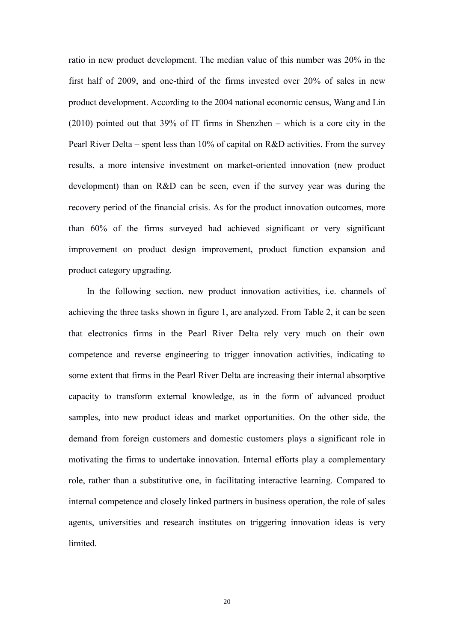ratio in new product development. The median value of this number was 20% in the first half of 2009, and one-third of the firms invested over 20% of sales in new product development. According to the 2004 national economic census, Wang and Lin (2010) pointed out that 39% of IT firms in Shenzhen – which is a core city in the Pearl River Delta – spent less than 10% of capital on R&D activities. From the survey results, a more intensive investment on market-oriented innovation (new product development) than on R&D can be seen, even if the survey year was during the recovery period of the financial crisis. As for the product innovation outcomes, more than 60% of the firms surveyed had achieved significant or very significant improvement on product design improvement, product function expansion and product category upgrading.

In the following section, new product innovation activities, i.e. channels of achieving the three tasks shown in figure 1, are analyzed. From Table 2, it can be seen that electronics firms in the Pearl River Delta rely very much on their own competence and reverse engineering to trigger innovation activities, indicating to some extent that firms in the Pearl River Delta are increasing their internal absorptive capacity to transform external knowledge, as in the form of advanced product samples, into new product ideas and market opportunities. On the other side, the demand from foreign customers and domestic customers plays a significant role in motivating the firms to undertake innovation. Internal efforts play a complementary role, rather than a substitutive one, in facilitating interactive learning. Compared to internal competence and closely linked partners in business operation, the role of sales agents, universities and research institutes on triggering innovation ideas is very limited.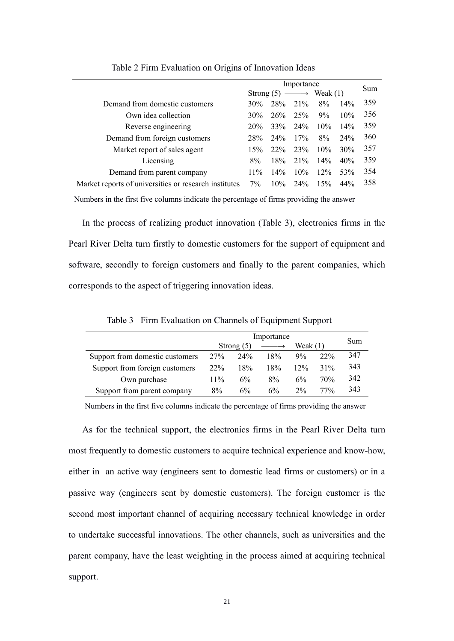|                                                       | Importance   |                 |     |            |     | Sum |
|-------------------------------------------------------|--------------|-----------------|-----|------------|-----|-----|
|                                                       | Strong $(5)$ |                 |     | Weak $(1)$ |     |     |
| Demand from domestic customers                        | $30\%$       | 28%             | 21% | 8%         | 14% | 359 |
| Own idea collection                                   | $30\%$       | 26%             | 25% | 9%         | 10% | 356 |
| Reverse engineering                                   | 20%          | 33%             | 24% | 10%        | 14% | 359 |
| Demand from foreign customers                         | 28%          | 24%             | 17% | 8%         | 24% | 360 |
| Market report of sales agent                          | 15%          | 22 <sup>%</sup> | 23% | 10%        | 30% | 357 |
| Licensing                                             | 8%           | 18%             | 21% | 14%        | 40% | 359 |
| Demand from parent company                            | $11\%$       | 14%             | 10% | 12%        | 53% | 354 |
| Market reports of universities or research institutes | $7\%$        | 10%             | 24% | 15%        | 44% | 358 |

Table 2 Firm Evaluation on Origins of Innovation Ideas

Numbers in the first five columns indicate the percentage of firms providing the answer

In the process of realizing product innovation (Table 3), electronics firms in the Pearl River Delta turn firstly to domestic customers for the support of equipment and software, secondly to foreign customers and finally to the parent companies, which corresponds to the aspect of triggering innovation ideas.

Table 3 Firm Evaluation on Channels of Equipment Support

|                                 | Importance      |              |     |            |     |     |
|---------------------------------|-----------------|--------------|-----|------------|-----|-----|
|                                 |                 | Strong $(5)$ |     | Weak $(1)$ |     | Sum |
| Support from domestic customers | 27%             | 24%          | 18% | $9\%$      | 22% | 347 |
| Support from foreign customers  | 22 <sup>%</sup> | 18%          | 18% | 12%        | 31% | 343 |
| Own purchase                    | $11\%$          | 6%           | 8%  | 6%         | 70% | 342 |
| Support from parent company     | 8%              | 6%           | 6%  | $2\%$      | 77% | 343 |

Numbers in the first five columns indicate the percentage of firms providing the answer

As for the technical support, the electronics firms in the Pearl River Delta turn most frequently to domestic customers to acquire technical experience and know-how, either in an active way (engineers sent to domestic lead firms or customers) or in a passive way (engineers sent by domestic customers). The foreign customer is the second most important channel of acquiring necessary technical knowledge in order to undertake successful innovations. The other channels, such as universities and the parent company, have the least weighting in the process aimed at acquiring technical support.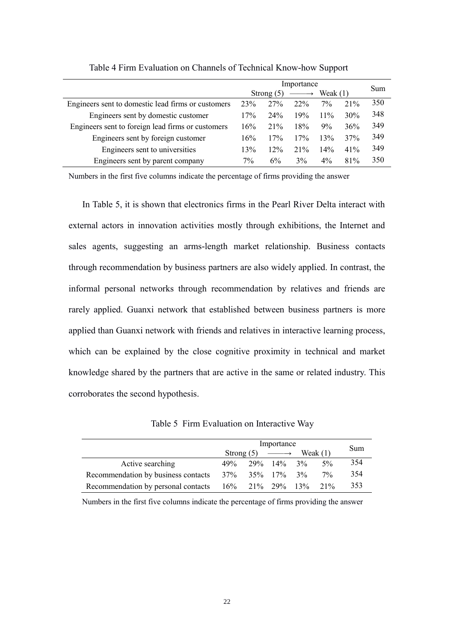|                                                    | Importance |              |     | Sum        |     |     |
|----------------------------------------------------|------------|--------------|-----|------------|-----|-----|
|                                                    |            | Strong $(5)$ |     | Weak $(1)$ |     |     |
| Engineers sent to domestic lead firms or customers | 23%        | 27%          | 22% | $7\%$      | 21% | 350 |
| Engineers sent by domestic customer                | 17%        | 24%          | 19% | $11\%$     | 30% | 348 |
| Engineers sent to foreign lead firms or customers  | 16%        | 21%          | 18% | 9%         | 36% | 349 |
| Engineers sent by foreign customer                 | 16%        | 17%          | 17% | 13%        | 37% | 349 |
| Engineers sent to universities                     | 13%        | 12%          | 21% | 14%        | 41% | 349 |
| Engineers sent by parent company                   | $7\%$      | 6%           | 3%  | $4\%$      | 81% | 350 |

Table 4 Firm Evaluation on Channels of Technical Know-how Support

Numbers in the first five columns indicate the percentage of firms providing the answer

In Table 5, it is shown that electronics firms in the Pearl River Delta interact with external actors in innovation activities mostly through exhibitions, the Internet and sales agents, suggesting an arms-length market relationship. Business contacts through recommendation by business partners are also widely applied. In contrast, the informal personal networks through recommendation by relatives and friends are rarely applied. Guanxi network that established between business partners is more applied than Guanxi network with friends and relatives in interactive learning process, which can be explained by the close cognitive proximity in technical and market knowledge shared by the partners that are active in the same or related industry. This corroborates the second hypothesis.

Table 5 Firm Evaluation on Interactive Way

|                                                         | Importance                   |                      |  |            |       |     |
|---------------------------------------------------------|------------------------------|----------------------|--|------------|-------|-----|
|                                                         | Strong $(5) \longrightarrow$ |                      |  | Weak $(1)$ | Sum   |     |
| Active searching                                        |                              | $49\%$ 29% $14\%$ 3% |  |            | $5\%$ | 354 |
| Recommendation by business contacts 37% 35% 17% 3%      |                              |                      |  |            | $7\%$ | 354 |
| Recommendation by personal contacts 16% 21% 29% 13% 21% |                              |                      |  |            |       | 353 |

Numbers in the first five columns indicate the percentage of firms providing the answer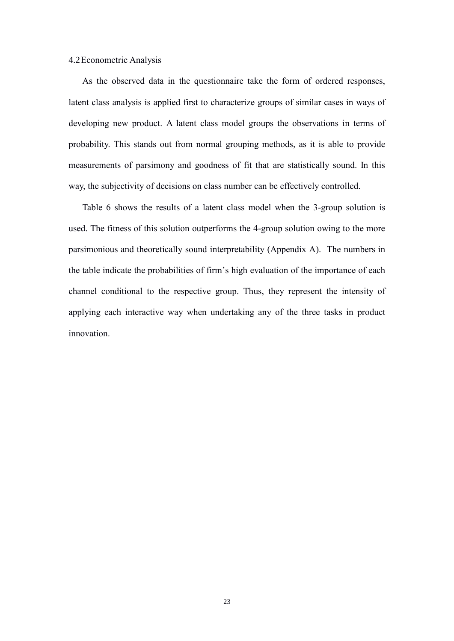### 4.2Econometric Analysis

As the observed data in the questionnaire take the form of ordered responses, latent class analysis is applied first to characterize groups of similar cases in ways of developing new product. A latent class model groups the observations in terms of probability. This stands out from normal grouping methods, as it is able to provide measurements of parsimony and goodness of fit that are statistically sound. In this way, the subjectivity of decisions on class number can be effectively controlled.

Table 6 shows the results of a latent class model when the 3-group solution is used. The fitness of this solution outperforms the 4-group solution owing to the more parsimonious and theoretically sound interpretability (Appendix A). The numbers in the table indicate the probabilities of firm's high evaluation of the importance of each channel conditional to the respective group. Thus, they represent the intensity of applying each interactive way when undertaking any of the three tasks in product innovation.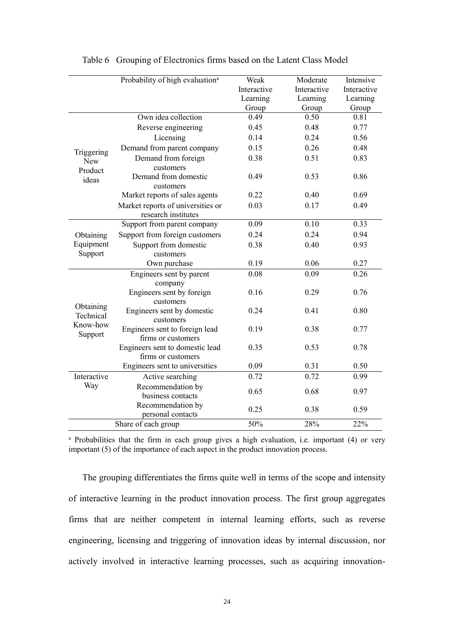|             | Probability of high evaluation <sup>a</sup>          | Weak                    | Moderate                | Intensive               |
|-------------|------------------------------------------------------|-------------------------|-------------------------|-------------------------|
|             |                                                      | Interactive<br>Learning | Interactive<br>Learning | Interactive<br>Learning |
|             |                                                      | Group                   | Group                   | Group                   |
|             | Own idea collection                                  | 0.49                    | 0.50                    | 0.81                    |
|             | Reverse engineering                                  | 0.45                    | 0.48                    | 0.77                    |
|             | Licensing                                            | 0.14                    | 0.24                    | 0.56                    |
|             | Demand from parent company                           | 0.15                    | 0.26                    | 0.48                    |
| Triggering  | Demand from foreign                                  | 0.38                    | 0.51                    | 0.83                    |
| New         | customers                                            |                         |                         |                         |
| Product     | Demand from domestic                                 | 0.49                    | 0.53                    | 0.86                    |
| ideas       | customers                                            |                         |                         |                         |
|             | Market reports of sales agents                       | 0.22                    | 0.40                    | 0.69                    |
|             | Market reports of universities or                    | 0.03                    | 0.17                    | 0.49                    |
|             | research institutes                                  |                         |                         |                         |
|             | Support from parent company                          | 0.09                    | 0.10                    | 0.33                    |
| Obtaining   | Support from foreign customers                       | 0.24                    | 0.24                    | 0.94                    |
| Equipment   | Support from domestic                                | 0.38                    | 0.40                    | 0.93                    |
| Support     | customers                                            |                         |                         |                         |
|             | Own purchase                                         | 0.19                    | 0.06                    | 0.27                    |
|             | Engineers sent by parent                             | 0.08                    | 0.09                    | 0.26                    |
|             | company                                              |                         |                         |                         |
|             | Engineers sent by foreign                            | 0.16                    | 0.29                    | 0.76                    |
| Obtaining   | customers                                            |                         |                         |                         |
| Technical   | Engineers sent by domestic                           | 0.24                    | 0.41                    | 0.80                    |
| Know-how    | customers                                            | 0.19                    | 0.38                    | 0.77                    |
| Support     | Engineers sent to foreign lead<br>firms or customers |                         |                         |                         |
|             | Engineers sent to domestic lead                      | 0.35                    | 0.53                    | 0.78                    |
|             | firms or customers                                   |                         |                         |                         |
|             | Engineers sent to universities                       | 0.09                    | 0.31                    | 0.50                    |
| Interactive | Active searching                                     | 0.72                    | 0.72                    | 0.99                    |
| Way         | Recommendation by                                    |                         |                         |                         |
|             | business contacts                                    | 0.65                    | 0.68                    | 0.97                    |
|             | Recommendation by                                    | 0.25                    | 0.38                    | 0.59                    |
|             | personal contacts                                    |                         |                         |                         |
|             | Share of each group                                  | 50%                     | 28%                     | 22%                     |

# Table 6 Grouping of Electronics firms based on the Latent Class Model

<sup>a</sup> Probabilities that the firm in each group gives a high evaluation, i.e. important (4) or very important (5) of the importance of each aspect in the product innovation process.

The grouping differentiates the firms quite well in terms of the scope and intensity of interactive learning in the product innovation process. The first group aggregates firms that are neither competent in internal learning efforts, such as reverse engineering, licensing and triggering of innovation ideas by internal discussion, nor actively involved in interactive learning processes, such as acquiring innovation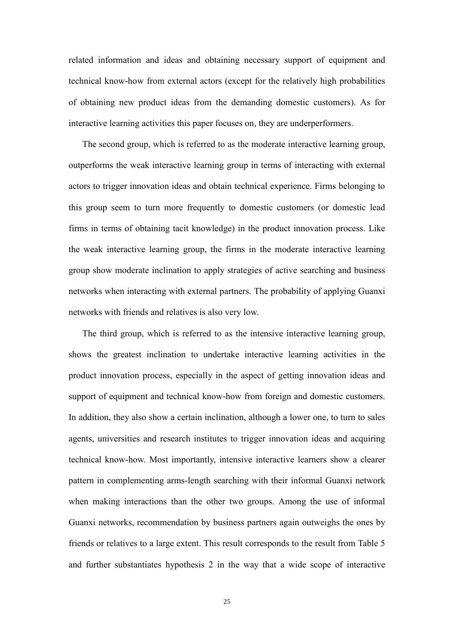related information and ideas and obtaining necessary support of equipment and technical know-how from external actors (except for the relatively high probabilities of obtaining new product ideas from the demanding domestic customers). As for interactive learning activities this paper focuses on, they are underperformers.

The second group, which is referred to as the moderate interactive learning group, outperforms the weak interactive learning group in terms of interacting with external actors to trigger innovation ideas and obtain technical experience. Firms belonging to this group seem to turn more frequently to domestic customers (or domestic lead firms in terms of obtaining tacit knowledge) in the product innovation process. Like the weak interactive learning group, the firms in the moderate interactive learning group show moderate inclination to apply strategies of active searching and business networks when interacting with external partners. The probability of applying Guanxi networks with friends and relatives is also very low.

The third group, which is referred to as the intensive interactive learning group, shows the greatest inclination to undertake interactive learning activities in the product innovation process, especially in the aspect of getting innovation ideas and support of equipment and technical know-how from foreign and domestic customers. In addition, they also show a certain inclination, although a lower one, to turn to sales agents, universities and research institutes to trigger innovation ideas and acquiring technical know-how. Most importantly, intensive interactive learners show a clearer pattern in complementing arms-length searching with their informal Guanxi network when making interactions than the other two groups. Among the use of informal Guanxi networks, recommendation by business partners again outweighs the ones by friends or relatives to a large extent. This result corresponds to the result from Table 5 and further substantiates hypothesis 2 in the way that a wide scope of interactive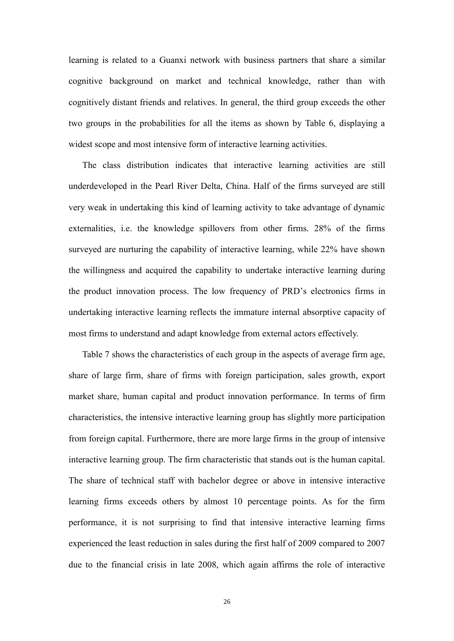learning is related to a Guanxi network with business partners that share a similar cognitive background on market and technical knowledge, rather than with cognitively distant friends and relatives. In general, the third group exceeds the other two groups in the probabilities for all the items as shown by Table 6, displaying a widest scope and most intensive form of interactive learning activities.

The class distribution indicates that interactive learning activities are still underdeveloped in the Pearl River Delta, China. Half of the firms surveyed are still very weak in undertaking this kind of learning activity to take advantage of dynamic externalities, i.e. the knowledge spillovers from other firms. 28% of the firms surveyed are nurturing the capability of interactive learning, while 22% have shown the willingness and acquired the capability to undertake interactive learning during the product innovation process. The low frequency of PRD's electronics firms in undertaking interactive learning reflects the immature internal absorptive capacity of most firms to understand and adapt knowledge from external actors effectively.

Table 7 shows the characteristics of each group in the aspects of average firm age, share of large firm, share of firms with foreign participation, sales growth, export market share, human capital and product innovation performance. In terms of firm characteristics, the intensive interactive learning group has slightly more participation from foreign capital. Furthermore, there are more large firms in the group of intensive interactive learning group. The firm characteristic that stands out is the human capital. The share of technical staff with bachelor degree or above in intensive interactive learning firms exceeds others by almost 10 percentage points. As for the firm performance, it is not surprising to find that intensive interactive learning firms experienced the least reduction in sales during the first half of 2009 compared to 2007 due to the financial crisis in late 2008, which again affirms the role of interactive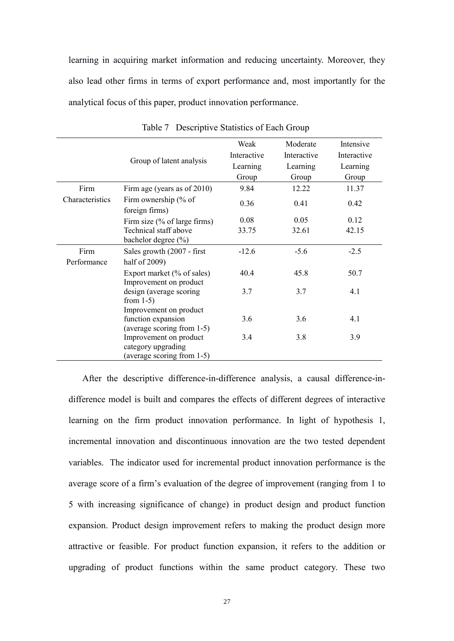learning in acquiring market information and reducing uncertainty. Moreover, they also lead other firms in terms of export performance and, most importantly for the analytical focus of this paper, product innovation performance.

|                 |                                                                            | Weak        | Moderate    | Intensive   |
|-----------------|----------------------------------------------------------------------------|-------------|-------------|-------------|
|                 |                                                                            | Interactive | Interactive | Interactive |
|                 | Group of latent analysis                                                   | Learning    | Learning    | Learning    |
|                 |                                                                            | Group       | Group       | Group       |
| Firm            | Firm age (years as of 2010)                                                | 9.84        | 12.22       | 11.37       |
| Characteristics | Firm ownership (% of<br>foreign firms)                                     | 0.36        | 0.41        | 0.42        |
|                 | Firm size (% of large firms)                                               | 0.08        | 0.05        | 0.12        |
|                 | Technical staff above<br>bachelor degree (%)                               | 33.75       | 32.61       | 42.15       |
| Firm            | Sales growth (2007 - first)                                                | $-12.6$     | $-5.6$      | $-2.5$      |
| Performance     | half of $2009$ )                                                           |             |             |             |
|                 | Export market (% of sales)<br>Improvement on product                       | 40.4        | 45.8        | 50.7        |
|                 | design (average scoring<br>from $1-5$ )                                    | 3.7         | 3.7         | 4.1         |
|                 | Improvement on product                                                     |             |             |             |
|                 | function expansion                                                         | 3.6         | 3.6         | 4.1         |
|                 | (average scoring from 1-5)<br>Improvement on product<br>category upgrading | 3.4         | 3.8         | 3.9         |
|                 | (average scoring from 1-5)                                                 |             |             |             |

Table 7 Descriptive Statistics of Each Group

After the descriptive difference-in-difference analysis, a causal difference-indifference model is built and compares the effects of different degrees of interactive learning on the firm product innovation performance. In light of hypothesis 1, incremental innovation and discontinuous innovation are the two tested dependent variables. The indicator used for incremental product innovation performance is the average score of a firm's evaluation of the degree of improvement (ranging from 1 to 5 with increasing significance of change) in product design and product function expansion. Product design improvement refers to making the product design more attractive or feasible. For product function expansion, it refers to the addition or upgrading of product functions within the same product category. These two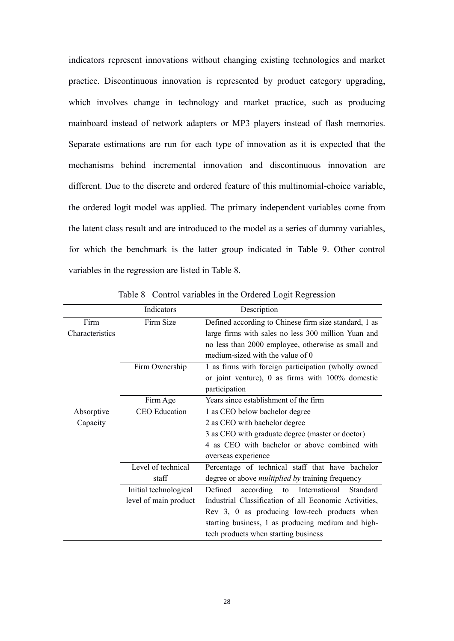indicators represent innovations without changing existing technologies and market practice. Discontinuous innovation is represented by product category upgrading, which involves change in technology and market practice, such as producing mainboard instead of network adapters or MP3 players instead of flash memories. Separate estimations are run for each type of innovation as it is expected that the mechanisms behind incremental innovation and discontinuous innovation are different. Due to the discrete and ordered feature of this multinomial-choice variable, the ordered logit model was applied. The primary independent variables come from the latent class result and are introduced to the model as a series of dummy variables, for which the benchmark is the latter group indicated in Table 9. Other control variables in the regression are listed in Table 8.

|                 | Indicators            | Description                                             |
|-----------------|-----------------------|---------------------------------------------------------|
| Firm            | Firm Size             | Defined according to Chinese firm size standard, 1 as   |
| Characteristics |                       | large firms with sales no less 300 million Yuan and     |
|                 |                       | no less than 2000 employee, otherwise as small and      |
|                 |                       | medium-sized with the value of 0                        |
|                 | Firm Ownership        | 1 as firms with foreign participation (wholly owned     |
|                 |                       | or joint venture), 0 as firms with 100% domestic        |
|                 |                       | participation                                           |
|                 | Firm Age              | Years since establishment of the firm                   |
| Absorptive      | <b>CEO</b> Education  | 1 as CEO below bachelor degree                          |
| Capacity        |                       | 2 as CEO with bachelor degree                           |
|                 |                       | 3 as CEO with graduate degree (master or doctor)        |
|                 |                       | 4 as CEO with bachelor or above combined with           |
|                 |                       | overseas experience                                     |
|                 | Level of technical    | Percentage of technical staff that have bachelor        |
|                 | staff                 | degree or above <i>multiplied by</i> training frequency |
|                 | Initial technological | Defined<br>according<br>to International<br>Standard    |
|                 | level of main product | Industrial Classification of all Economic Activities,   |
|                 |                       | Rev 3, 0 as producing low-tech products when            |
|                 |                       | starting business, 1 as producing medium and high-      |
|                 |                       | tech products when starting business                    |

Table 8 Control variables in the Ordered Logit Regression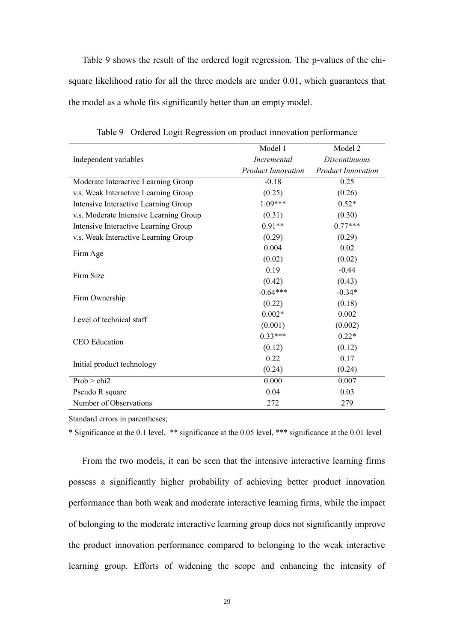Table 9 shows the result of the ordered logit regression. The p-values of the chisquare likelihood ratio for all the three models are under 0.01, which guarantees that the model as a whole fits significantly better than an empty model.

|                                        | Model 1                   | Model 2                   |
|----------------------------------------|---------------------------|---------------------------|
| Independent variables                  | Incremental               | Discontinuous             |
|                                        | <b>Product Innovation</b> | <b>Product Innovation</b> |
| Moderate Interactive Learning Group    | $-0.18$                   | 0.25                      |
| v.s. Weak Interactive Learning Group   | (0.25)                    | (0.26)                    |
| Intensive Interactive Learning Group   | $1.09***$                 | $0.52*$                   |
| v.s. Moderate Intensive Learning Group | (0.31)                    | (0.30)                    |
| Intensive Interactive Learning Group   | $0.91**$                  | $0.77***$                 |
| v.s. Weak Interactive Learning Group   | (0.29)                    | (0.29)                    |
|                                        | 0.004                     | 0.02                      |
| Firm Age                               | (0.02)                    | (0.02)                    |
|                                        | 0.19                      | $-0.44$                   |
| Firm Size                              | (0.42)                    | (0.43)                    |
|                                        | $-0.64***$                | $-0.34*$                  |
| Firm Ownership                         | (0.22)                    | (0.18)                    |
| Level of technical staff               | $0.002*$                  | 0.002                     |
|                                        | (0.001)                   | (0.002)                   |
| <b>CEO</b> Education                   | $0.33***$                 | $0.22*$                   |
|                                        | (0.12)                    | (0.12)                    |
|                                        | 0.22                      | 0.17                      |
| Initial product technology             | (0.24)                    | (0.24)                    |
| Prob > chi2                            | 0.000                     | 0.007                     |
| Pseudo R square                        | 0.04                      | 0.03                      |
| Number of Observations                 | 272                       | 279                       |

Table 9 Ordered Logit Regression on product innovation performance

Standard errors in parentheses;

\* Significance at the 0.1 level, \*\* significance at the 0.05 level, \*\*\* significance at the 0.01 level

From the two models, it can be seen that the intensive interactive learning firms possess a significantly higher probability of achieving better product innovation performance than both weak and moderate interactive learning firms, while the impact of belonging to the moderate interactive learning group does not significantly improve the product innovation performance compared to belonging to the weak interactive learning group. Efforts of widening the scope and enhancing the intensity of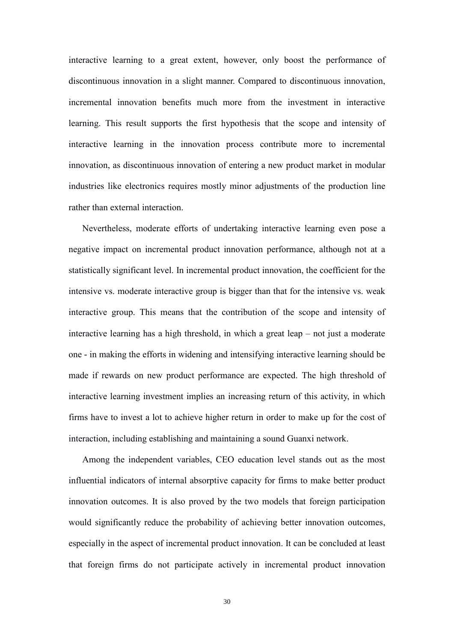interactive learning to a great extent, however, only boost the performance of discontinuous innovation in a slight manner. Compared to discontinuous innovation, incremental innovation benefits much more from the investment in interactive learning. This result supports the first hypothesis that the scope and intensity of interactive learning in the innovation process contribute more to incremental innovation, as discontinuous innovation of entering a new product market in modular industries like electronics requires mostly minor adjustments of the production line rather than external interaction.

Nevertheless, moderate efforts of undertaking interactive learning even pose a negative impact on incremental product innovation performance, although not at a statistically significant level. In incremental product innovation, the coefficient for the intensive vs. moderate interactive group is bigger than that for the intensive vs. weak interactive group. This means that the contribution of the scope and intensity of interactive learning has a high threshold, in which a great leap – not just a moderate one - in making the efforts in widening and intensifying interactive learning should be made if rewards on new product performance are expected. The high threshold of interactive learning investment implies an increasing return of this activity, in which firms have to invest a lot to achieve higher return in order to make up for the cost of interaction, including establishing and maintaining a sound Guanxi network.

Among the independent variables, CEO education level stands out as the most influential indicators of internal absorptive capacity for firms to make better product innovation outcomes. It is also proved by the two models that foreign participation would significantly reduce the probability of achieving better innovation outcomes, especially in the aspect of incremental product innovation. It can be concluded at least that foreign firms do not participate actively in incremental product innovation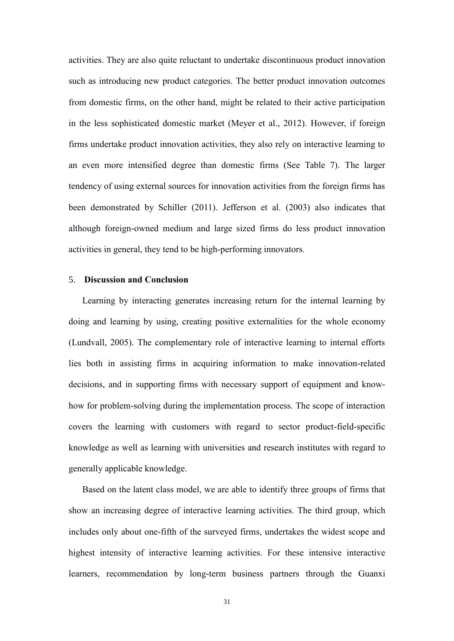activities. They are also quite reluctant to undertake discontinuous product innovation such as introducing new product categories. The better product innovation outcomes from domestic firms, on the other hand, might be related to their active participation in the less sophisticated domestic market (Meyer et al., 2012). However, if foreign firms undertake product innovation activities, they also rely on interactive learning to an even more intensified degree than domestic firms (See Table 7). The larger tendency of using external sources for innovation activities from the foreign firms has been demonstrated by Schiller (2011). Jefferson et al. (2003) also indicates that although foreign-owned medium and large sized firms do less product innovation activities in general, they tend to be high-performing innovators.

# 5. **Discussion and Conclusion**

Learning by interacting generates increasing return for the internal learning by doing and learning by using, creating positive externalities for the whole economy (Lundvall, 2005). The complementary role of interactive learning to internal efforts lies both in assisting firms in acquiring information to make innovation-related decisions, and in supporting firms with necessary support of equipment and knowhow for problem-solving during the implementation process. The scope of interaction covers the learning with customers with regard to sector product-field-specific knowledge as well as learning with universities and research institutes with regard to generally applicable knowledge.

Based on the latent class model, we are able to identify three groups of firms that show an increasing degree of interactive learning activities. The third group, which includes only about one-fifth of the surveyed firms, undertakes the widest scope and highest intensity of interactive learning activities. For these intensive interactive learners, recommendation by long-term business partners through the Guanxi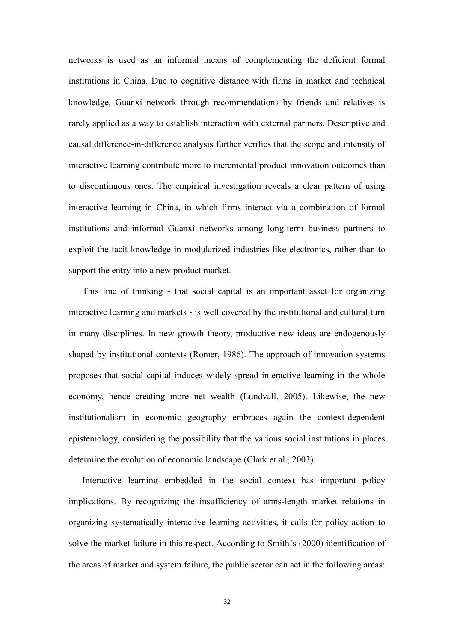networks is used as an informal means of complementing the deficient formal institutions in China. Due to cognitive distance with firms in market and technical knowledge, Guanxi network through recommendations by friends and relatives is rarely applied as a way to establish interaction with external partners. Descriptive and causal difference-in-difference analysis further verifies that the scope and intensity of interactive learning contribute more to incremental product innovation outcomes than to discontinuous ones. The empirical investigation reveals a clear pattern of using interactive learning in China, in which firms interact via a combination of formal institutions and informal Guanxi networks among long-term business partners to exploit the tacit knowledge in modularized industries like electronics, rather than to support the entry into a new product market.

This line of thinking - that social capital is an important asset for organizing interactive learning and markets - is well covered by the institutional and cultural turn in many disciplines. In new growth theory, productive new ideas are endogenously shaped by institutional contexts (Romer, 1986). The approach of innovation systems proposes that social capital induces widely spread interactive learning in the whole economy, hence creating more net wealth (Lundvall, 2005). Likewise, the new institutionalism in economic geography embraces again the context-dependent epistemology, considering the possibility that the various social institutions in places determine the evolution of economic landscape (Clark et al., 2003).

Interactive learning embedded in the social context has important policy implications. By recognizing the insufficiency of arms-length market relations in organizing systematically interactive learning activities, it calls for policy action to solve the market failure in this respect. According to Smith's (2000) identification of the areas of market and system failure, the public sector can act in the following areas: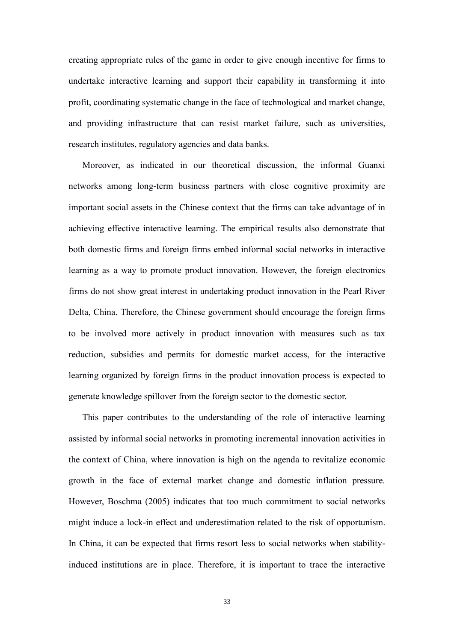creating appropriate rules of the game in order to give enough incentive for firms to undertake interactive learning and support their capability in transforming it into profit, coordinating systematic change in the face of technological and market change, and providing infrastructure that can resist market failure, such as universities, research institutes, regulatory agencies and data banks.

Moreover, as indicated in our theoretical discussion, the informal Guanxi networks among long-term business partners with close cognitive proximity are important social assets in the Chinese context that the firms can take advantage of in achieving effective interactive learning. The empirical results also demonstrate that both domestic firms and foreign firms embed informal social networks in interactive learning as a way to promote product innovation. However, the foreign electronics firms do not show great interest in undertaking product innovation in the Pearl River Delta, China. Therefore, the Chinese government should encourage the foreign firms to be involved more actively in product innovation with measures such as tax reduction, subsidies and permits for domestic market access, for the interactive learning organized by foreign firms in the product innovation process is expected to generate knowledge spillover from the foreign sector to the domestic sector.

This paper contributes to the understanding of the role of interactive learning assisted by informal social networks in promoting incremental innovation activities in the context of China, where innovation is high on the agenda to revitalize economic growth in the face of external market change and domestic inflation pressure. However, Boschma (2005) indicates that too much commitment to social networks might induce a lock-in effect and underestimation related to the risk of opportunism. In China, it can be expected that firms resort less to social networks when stabilityinduced institutions are in place. Therefore, it is important to trace the interactive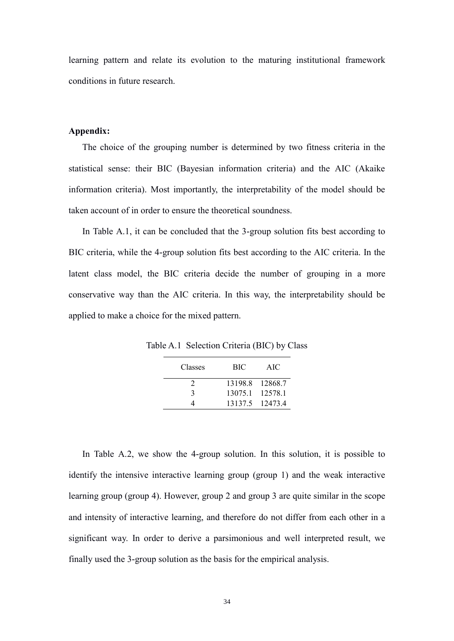learning pattern and relate its evolution to the maturing institutional framework conditions in future research.

# **Appendix:**

The choice of the grouping number is determined by two fitness criteria in the statistical sense: their BIC (Bayesian information criteria) and the AIC (Akaike information criteria). Most importantly, the interpretability of the model should be taken account of in order to ensure the theoretical soundness.

In Table A.1, it can be concluded that the 3-group solution fits best according to BIC criteria, while the 4-group solution fits best according to the AIC criteria. In the latent class model, the BIC criteria decide the number of grouping in a more conservative way than the AIC criteria. In this way, the interpretability should be applied to make a choice for the mixed pattern.

| Classes | BIC.            | AIC             |
|---------|-----------------|-----------------|
|         |                 | 13198.8 12868.7 |
| 3       | 13075.1 12578.1 |                 |
|         |                 | 13137.5 12473.4 |

Table A.1 Selection Criteria (BIC) by Class

In Table A.2, we show the 4-group solution. In this solution, it is possible to identify the intensive interactive learning group (group 1) and the weak interactive learning group (group 4). However, group 2 and group 3 are quite similar in the scope and intensity of interactive learning, and therefore do not differ from each other in a significant way. In order to derive a parsimonious and well interpreted result, we finally used the 3-group solution as the basis for the empirical analysis.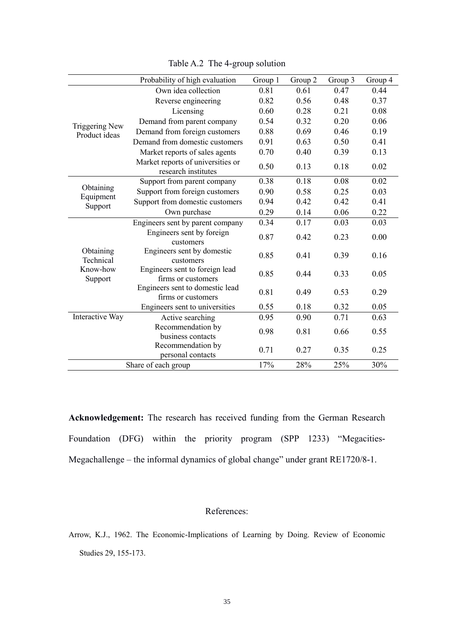|                        | Probability of high evaluation                           | Group 1 | Group 2 | Group 3 | Group 4 |
|------------------------|----------------------------------------------------------|---------|---------|---------|---------|
|                        | Own idea collection                                      | 0.81    | 0.61    | 0.47    | 0.44    |
|                        | Reverse engineering                                      | 0.82    | 0.56    | 0.48    | 0.37    |
|                        | Licensing                                                | 0.60    | 0.28    | 0.21    | 0.08    |
| Triggering New         | Demand from parent company                               | 0.54    | 0.32    | 0.20    | 0.06    |
| Product ideas          | Demand from foreign customers                            | 0.88    | 0.69    | 0.46    | 0.19    |
|                        | Demand from domestic customers                           | 0.91    | 0.63    | 0.50    | 0.41    |
|                        | Market reports of sales agents                           | 0.70    | 0.40    | 0.39    | 0.13    |
|                        | Market reports of universities or<br>research institutes | 0.50    | 0.13    | 0.18    | 0.02    |
|                        | Support from parent company                              | 0.38    | 0.18    | 0.08    | 0.02    |
| Obtaining              | Support from foreign customers                           | 0.90    | 0.58    | 0.25    | 0.03    |
| Equipment<br>Support   | Support from domestic customers                          | 0.94    | 0.42    | 0.42    | 0.41    |
|                        | Own purchase                                             | 0.29    | 0.14    | 0.06    | 0.22    |
|                        | Engineers sent by parent company                         | 0.34    | 0.17    | 0.03    | 0.03    |
|                        | Engineers sent by foreign<br>customers                   | 0.87    | 0.42    | 0.23    | 0.00    |
| Obtaining<br>Technical | Engineers sent by domestic<br>customers                  | 0.85    | 0.41    | 0.39    | 0.16    |
| Know-how<br>Support    | Engineers sent to foreign lead<br>firms or customers     | 0.85    | 0.44    | 0.33    | 0.05    |
|                        | Engineers sent to domestic lead<br>firms or customers    | 0.81    | 0.49    | 0.53    | 0.29    |
|                        | Engineers sent to universities                           | 0.55    | 0.18    | 0.32    | 0.05    |
| Interactive Way        | Active searching                                         | 0.95    | 0.90    | 0.71    | 0.63    |
|                        | Recommendation by<br>business contacts                   | 0.98    | 0.81    | 0.66    | 0.55    |
|                        | Recommendation by<br>personal contacts                   | 0.71    | 0.27    | 0.35    | 0.25    |
|                        | Share of each group                                      | 17%     | 28%     | 25%     | 30%     |

Table A.2 The 4-group solution

**Acknowledgement:** The research has received funding from the German Research Foundation (DFG) within the priority program (SPP 1233) "Megacities-Megachallenge – the informal dynamics of global change" under grant RE1720/8-1.

### References:

Arrow, K.J., 1962. The Economic-Implications of Learning by Doing. Review of Economic Studies 29, 155-173.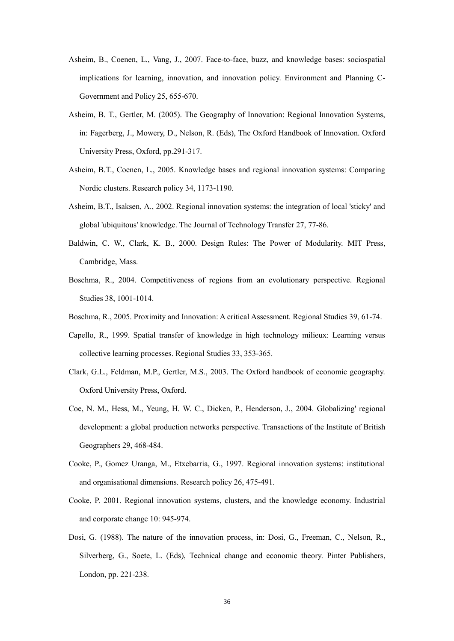- Asheim, B., Coenen, L., Vang, J., 2007. Face-to-face, buzz, and knowledge bases: sociospatial implications for learning, innovation, and innovation policy. Environment and Planning C-Government and Policy 25, 655-670.
- Asheim, B. T., Gertler, M. (2005). The Geography of Innovation: Regional Innovation Systems, in: Fagerberg, J., Mowery, D., Nelson, R. (Eds), The Oxford Handbook of Innovation. Oxford University Press, Oxford, pp.291-317.
- Asheim, B.T., Coenen, L., 2005. Knowledge bases and regional innovation systems: Comparing Nordic clusters. Research policy 34, 1173-1190.
- Asheim, B.T., Isaksen, A., 2002. Regional innovation systems: the integration of local 'sticky' and global 'ubiquitous' knowledge. The Journal of Technology Transfer 27, 77-86.
- Baldwin, C. W., Clark, K. B., 2000. Design Rules: The Power of Modularity. MIT Press, Cambridge, Mass.
- Boschma, R., 2004. Competitiveness of regions from an evolutionary perspective. Regional Studies 38, 1001-1014.
- Boschma, R., 2005. Proximity and Innovation: A critical Assessment. Regional Studies 39, 61-74.
- Capello, R., 1999. Spatial transfer of knowledge in high technology milieux: Learning versus collective learning processes. Regional Studies 33, 353-365.
- Clark, G.L., Feldman, M.P., Gertler, M.S., 2003. The Oxford handbook of economic geography. Oxford University Press, Oxford.
- Coe, N. M., Hess, M., Yeung, H. W. C., Dicken, P., Henderson, J., 2004. Globalizing' regional development: a global production networks perspective. Transactions of the Institute of British Geographers 29, 468-484.
- Cooke, P., Gomez Uranga, M., Etxebarria, G., 1997. Regional innovation systems: institutional and organisational dimensions. Research policy 26, 475-491.
- Cooke, P. 2001. Regional innovation systems, clusters, and the knowledge economy. Industrial and corporate change 10: 945-974.
- Dosi, G. (1988). The nature of the innovation process, in: Dosi, G., Freeman, C., Nelson, R., Silverberg, G., Soete, L. (Eds), Technical change and economic theory. Pinter Publishers, London, pp. 221-238.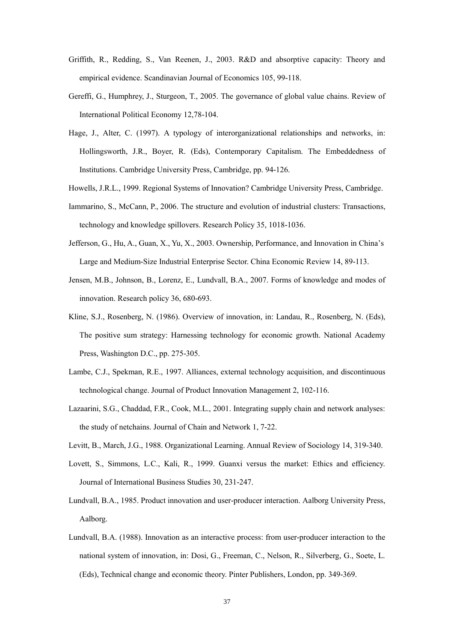- Griffith, R., Redding, S., Van Reenen, J., 2003. R&D and absorptive capacity: Theory and empirical evidence. Scandinavian Journal of Economics 105, 99-118.
- Gereffi, G., Humphrey, J., Sturgeon, T., 2005. The governance of global value chains. Review of International Political Economy 12,78-104.
- Hage, J., Alter, C. (1997). A typology of interorganizational relationships and networks, in: Hollingsworth, J.R., Boyer, R. (Eds), Contemporary Capitalism. The Embeddedness of Institutions. Cambridge University Press, Cambridge, pp. 94-126.
- Howells, J.R.L., 1999. Regional Systems of Innovation? Cambridge University Press, Cambridge.
- Iammarino, S., McCann, P., 2006. The structure and evolution of industrial clusters: Transactions, technology and knowledge spillovers. Research Policy 35, 1018-1036.
- Jefferson, G., Hu, A., Guan, X., Yu, X., 2003. Ownership, Performance, and Innovation in China's Large and Medium-Size Industrial Enterprise Sector. China Economic Review 14, 89-113.
- Jensen, M.B., Johnson, B., Lorenz, E., Lundvall, B.A., 2007. Forms of knowledge and modes of innovation. Research policy 36, 680-693.
- Kline, S.J., Rosenberg, N. (1986). Overview of innovation, in: Landau, R., Rosenberg, N. (Eds), The positive sum strategy: Harnessing technology for economic growth. National Academy Press, Washington D.C., pp. 275-305.
- Lambe, C.J., Spekman, R.E., 1997. Alliances, external technology acquisition, and discontinuous technological change. Journal of Product Innovation Management 2, 102-116.
- Lazaarini, S.G., Chaddad, F.R., Cook, M.L., 2001. Integrating supply chain and network analyses: the study of netchains. Journal of Chain and Network 1, 7-22.
- Levitt, B., March, J.G., 1988. Organizational Learning. Annual Review of Sociology 14, 319-340.
- Lovett, S., Simmons, L.C., Kali, R., 1999. Guanxi versus the market: Ethics and efficiency. Journal of International Business Studies 30, 231-247.
- Lundvall, B.A., 1985. Product innovation and user-producer interaction. Aalborg University Press, Aalborg.
- Lundvall, B.A. (1988). Innovation as an interactive process: from user-producer interaction to the national system of innovation, in: Dosi, G., Freeman, C., Nelson, R., Silverberg, G., Soete, L. (Eds), Technical change and economic theory. Pinter Publishers, London, pp. 349-369.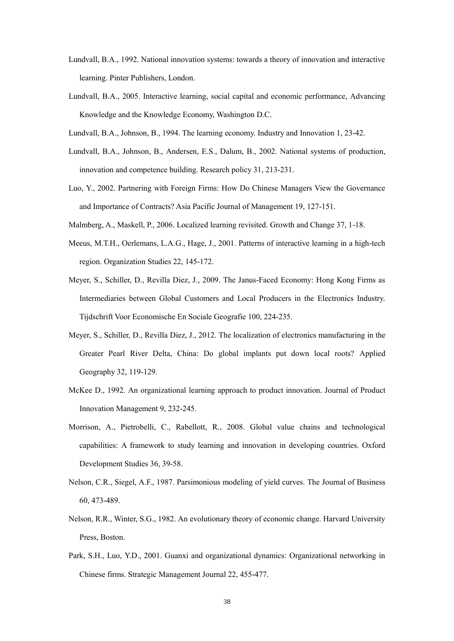- Lundvall, B.A., 1992. National innovation systems: towards a theory of innovation and interactive learning. Pinter Publishers, London.
- Lundvall, B.A., 2005. Interactive learning, social capital and economic performance, Advancing Knowledge and the Knowledge Economy, Washington D.C.
- Lundvall, B.A., Johnson, B., 1994. The learning economy. Industry and Innovation 1, 23-42.
- Lundvall, B.A., Johnson, B., Andersen, E.S., Dalum, B., 2002. National systems of production, innovation and competence building. Research policy 31, 213-231.
- Luo, Y., 2002. Partnering with Foreign Firms: How Do Chinese Managers View the Governance and Importance of Contracts? Asia Pacific Journal of Management 19, 127-151.
- Malmberg, A., Maskell, P., 2006. Localized learning revisited. Growth and Change 37, 1-18.
- Meeus, M.T.H., Oerlemans, L.A.G., Hage, J., 2001. Patterns of interactive learning in a high-tech region. Organization Studies 22, 145-172.
- Meyer, S., Schiller, D., Revilla Diez, J., 2009. The Janus-Faced Economy: Hong Kong Firms as Intermediaries between Global Customers and Local Producers in the Electronics Industry. Tijdschrift Voor Economische En Sociale Geografie 100, 224-235.
- Meyer, S., Schiller, D., Revilla Diez, J., 2012. The localization of electronics manufacturing in the Greater Pearl River Delta, China: Do global implants put down local roots? Applied Geography 32, 119-129.
- McKee D., 1992. An organizational learning approach to product innovation. Journal of Product Innovation Management 9, 232-245.
- Morrison, A., Pietrobelli, C., Rabellott, R., 2008. Global value chains and technological capabilities: A framework to study learning and innovation in developing countries. Oxford Development Studies 36, 39-58.
- Nelson, C.R., Siegel, A.F., 1987. Parsimonious modeling of yield curves. The Journal of Business 60, 473-489.
- Nelson, R.R., Winter, S.G., 1982. An evolutionary theory of economic change. Harvard University Press, Boston.
- Park, S.H., Luo, Y.D., 2001. Guanxi and organizational dynamics: Organizational networking in Chinese firms. Strategic Management Journal 22, 455-477.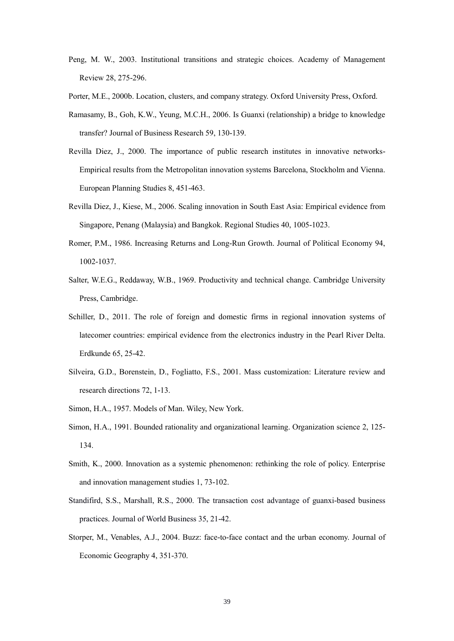- Peng, M. W., 2003. Institutional transitions and strategic choices. Academy of Management Review 28, 275-296.
- Porter, M.E., 2000b. Location, clusters, and company strategy. Oxford University Press, Oxford.
- Ramasamy, B., Goh, K.W., Yeung, M.C.H., 2006. Is Guanxi (relationship) a bridge to knowledge transfer? Journal of Business Research 59, 130-139.
- Revilla Diez, J., 2000. The importance of public research institutes in innovative networks-Empirical results from the Metropolitan innovation systems Barcelona, Stockholm and Vienna. European Planning Studies 8, 451-463.
- Revilla Diez, J., Kiese, M., 2006. Scaling innovation in South East Asia: Empirical evidence from Singapore, Penang (Malaysia) and Bangkok. Regional Studies 40, 1005-1023.
- Romer, P.M., 1986. Increasing Returns and Long-Run Growth. Journal of Political Economy 94, 1002-1037.
- Salter, W.E.G., Reddaway, W.B., 1969. Productivity and technical change. Cambridge University Press, Cambridge.
- Schiller, D., 2011. The role of foreign and domestic firms in regional innovation systems of latecomer countries: empirical evidence from the electronics industry in the Pearl River Delta. Erdkunde 65, 25-42.
- Silveira, G.D., Borenstein, D., Fogliatto, F.S., 2001. Mass customization: Literature review and research directions 72, 1-13.
- Simon, H.A., 1957. Models of Man. Wiley, New York.
- Simon, H.A., 1991. Bounded rationality and organizational learning. Organization science 2, 125- 134.
- Smith, K., 2000. Innovation as a systemic phenomenon: rethinking the role of policy. Enterprise and innovation management studies 1, 73-102.
- Standifird, S.S., Marshall, R.S., 2000. The transaction cost advantage of guanxi-based business practices. Journal of World Business 35, 21-42.
- Storper, M., Venables, A.J., 2004. Buzz: face-to-face contact and the urban economy. Journal of Economic Geography 4, 351-370.